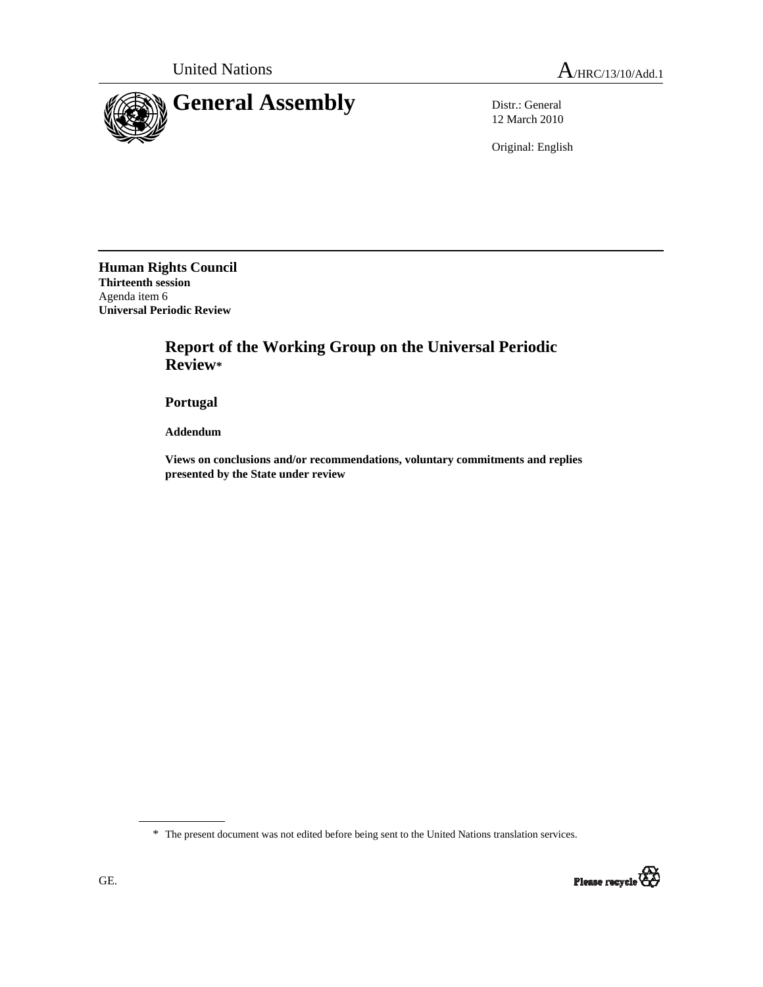

12 March 2010

Original: English

**Human Rights Council Thirteenth session**  Agenda item 6 **Universal Periodic Review** 

# **Report of the Working Group on the Universal Periodic Review\***

 **Portugal** 

 **Addendum** 

 **Views on conclusions and/or recommendations, voluntary commitments and replies presented by the State under review** 

\* The present document was not edited before being sent to the United Nations translation services.

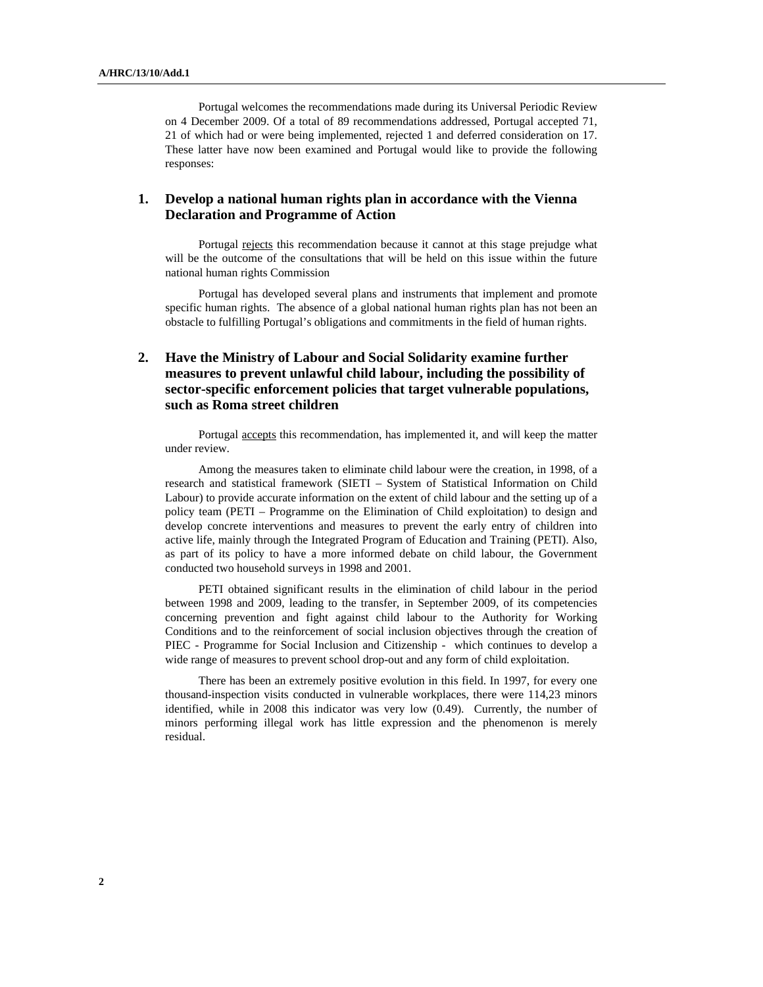Portugal welcomes the recommendations made during its Universal Periodic Review on 4 December 2009. Of a total of 89 recommendations addressed, Portugal accepted 71, 21 of which had or were being implemented, rejected 1 and deferred consideration on 17. These latter have now been examined and Portugal would like to provide the following responses:

#### **1. Develop a national human rights plan in accordance with the Vienna Declaration and Programme of Action**

Portugal rejects this recommendation because it cannot at this stage prejudge what will be the outcome of the consultations that will be held on this issue within the future national human rights Commission

Portugal has developed several plans and instruments that implement and promote specific human rights. The absence of a global national human rights plan has not been an obstacle to fulfilling Portugal's obligations and commitments in the field of human rights.

# **2. Have the Ministry of Labour and Social Solidarity examine further measures to prevent unlawful child labour, including the possibility of sector-specific enforcement policies that target vulnerable populations, such as Roma street children**

Portugal accepts this recommendation, has implemented it, and will keep the matter under review.

Among the measures taken to eliminate child labour were the creation, in 1998, of a research and statistical framework (SIETI – System of Statistical Information on Child Labour) to provide accurate information on the extent of child labour and the setting up of a policy team (PETI – Programme on the Elimination of Child exploitation) to design and develop concrete interventions and measures to prevent the early entry of children into active life, mainly through the Integrated Program of Education and Training (PETI). Also, as part of its policy to have a more informed debate on child labour, the Government conducted two household surveys in 1998 and 2001.

PETI obtained significant results in the elimination of child labour in the period between 1998 and 2009, leading to the transfer, in September 2009, of its competencies concerning prevention and fight against child labour to the Authority for Working Conditions and to the reinforcement of social inclusion objectives through the creation of PIEC - Programme for Social Inclusion and Citizenship - which continues to develop a wide range of measures to prevent school drop-out and any form of child exploitation.

There has been an extremely positive evolution in this field. In 1997, for every one thousand-inspection visits conducted in vulnerable workplaces, there were 114,23 minors identified, while in 2008 this indicator was very low (0.49). Currently, the number of minors performing illegal work has little expression and the phenomenon is merely residual.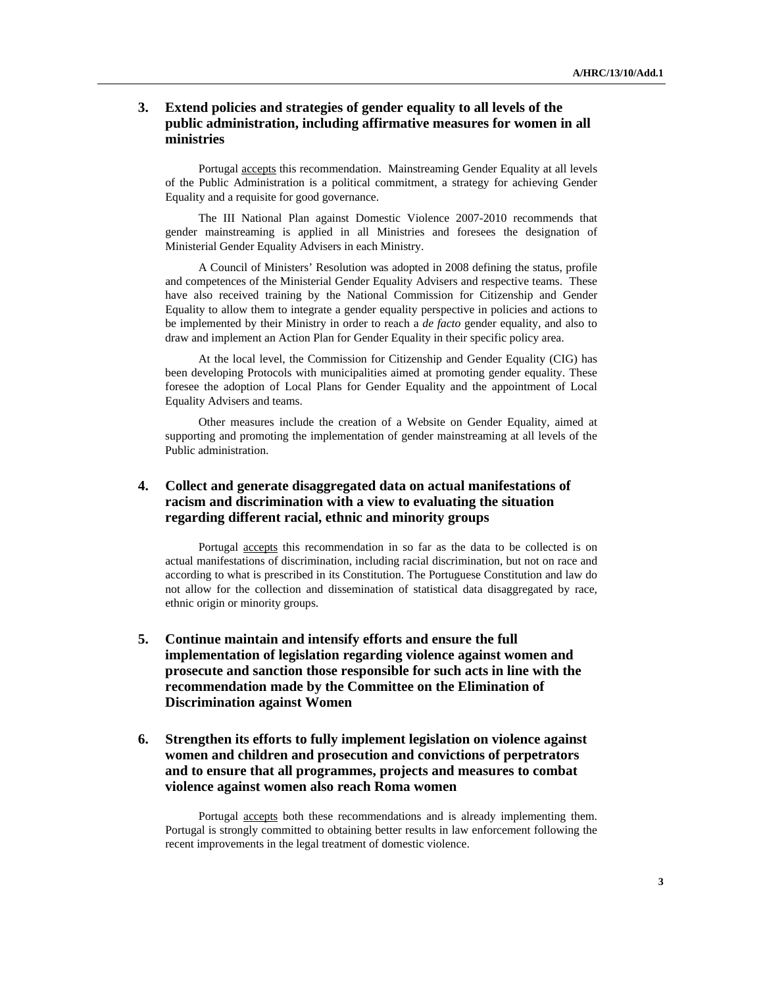#### **3. Extend policies and strategies of gender equality to all levels of the public administration, including affirmative measures for women in all ministries**

Portugal **accepts** this recommendation. Mainstreaming Gender Equality at all levels of the Public Administration is a political commitment, a strategy for achieving Gender Equality and a requisite for good governance.

The III National Plan against Domestic Violence 2007-2010 recommends that gender mainstreaming is applied in all Ministries and foresees the designation of Ministerial Gender Equality Advisers in each Ministry.

A Council of Ministers' Resolution was adopted in 2008 defining the status, profile and competences of the Ministerial Gender Equality Advisers and respective teams. These have also received training by the National Commission for Citizenship and Gender Equality to allow them to integrate a gender equality perspective in policies and actions to be implemented by their Ministry in order to reach a *de facto* gender equality, and also to draw and implement an Action Plan for Gender Equality in their specific policy area.

At the local level, the Commission for Citizenship and Gender Equality (CIG) has been developing Protocols with municipalities aimed at promoting gender equality. These foresee the adoption of Local Plans for Gender Equality and the appointment of Local Equality Advisers and teams.

Other measures include the creation of a Website on Gender Equality, aimed at supporting and promoting the implementation of gender mainstreaming at all levels of the Public administration.

## **4. Collect and generate disaggregated data on actual manifestations of racism and discrimination with a view to evaluating the situation regarding different racial, ethnic and minority groups**

Portugal accepts this recommendation in so far as the data to be collected is on actual manifestations of discrimination, including racial discrimination, but not on race and according to what is prescribed in its Constitution. The Portuguese Constitution and law do not allow for the collection and dissemination of statistical data disaggregated by race, ethnic origin or minority groups.

 **5. Continue maintain and intensify efforts and ensure the full implementation of legislation regarding violence against women and prosecute and sanction those responsible for such acts in line with the recommendation made by the Committee on the Elimination of Discrimination against Women** 

## **6. Strengthen its efforts to fully implement legislation on violence against women and children and prosecution and convictions of perpetrators and to ensure that all programmes, projects and measures to combat violence against women also reach Roma women**

Portugal accepts both these recommendations and is already implementing them. Portugal is strongly committed to obtaining better results in law enforcement following the recent improvements in the legal treatment of domestic violence.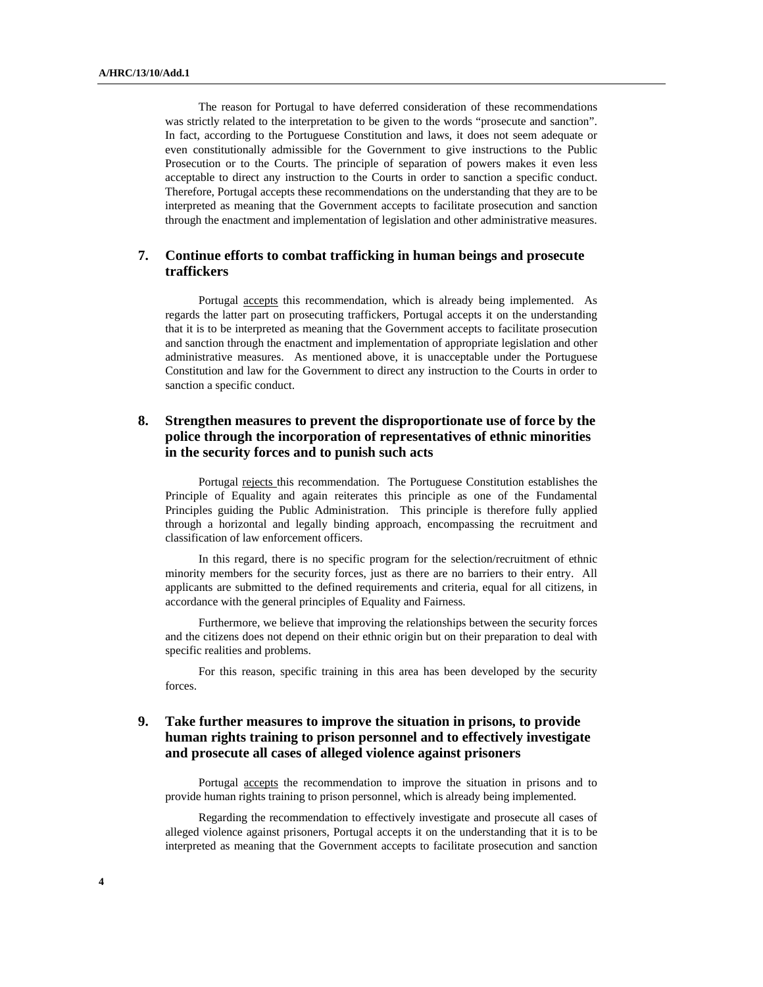The reason for Portugal to have deferred consideration of these recommendations was strictly related to the interpretation to be given to the words "prosecute and sanction". In fact, according to the Portuguese Constitution and laws, it does not seem adequate or even constitutionally admissible for the Government to give instructions to the Public Prosecution or to the Courts. The principle of separation of powers makes it even less acceptable to direct any instruction to the Courts in order to sanction a specific conduct. Therefore, Portugal accepts these recommendations on the understanding that they are to be interpreted as meaning that the Government accepts to facilitate prosecution and sanction through the enactment and implementation of legislation and other administrative measures.

#### **7. Continue efforts to combat trafficking in human beings and prosecute traffickers**

Portugal accepts this recommendation, which is already being implemented. As regards the latter part on prosecuting traffickers, Portugal accepts it on the understanding that it is to be interpreted as meaning that the Government accepts to facilitate prosecution and sanction through the enactment and implementation of appropriate legislation and other administrative measures. As mentioned above, it is unacceptable under the Portuguese Constitution and law for the Government to direct any instruction to the Courts in order to sanction a specific conduct.

#### **8. Strengthen measures to prevent the disproportionate use of force by the police through the incorporation of representatives of ethnic minorities in the security forces and to punish such acts**

Portugal rejects this recommendation. The Portuguese Constitution establishes the Principle of Equality and again reiterates this principle as one of the Fundamental Principles guiding the Public Administration. This principle is therefore fully applied through a horizontal and legally binding approach, encompassing the recruitment and classification of law enforcement officers.

In this regard, there is no specific program for the selection/recruitment of ethnic minority members for the security forces, just as there are no barriers to their entry. All applicants are submitted to the defined requirements and criteria, equal for all citizens, in accordance with the general principles of Equality and Fairness.

Furthermore, we believe that improving the relationships between the security forces and the citizens does not depend on their ethnic origin but on their preparation to deal with specific realities and problems.

For this reason, specific training in this area has been developed by the security forces.

## **9. Take further measures to improve the situation in prisons, to provide human rights training to prison personnel and to effectively investigate and prosecute all cases of alleged violence against prisoners**

Portugal accepts the recommendation to improve the situation in prisons and to provide human rights training to prison personnel, which is already being implemented.

Regarding the recommendation to effectively investigate and prosecute all cases of alleged violence against prisoners, Portugal accepts it on the understanding that it is to be interpreted as meaning that the Government accepts to facilitate prosecution and sanction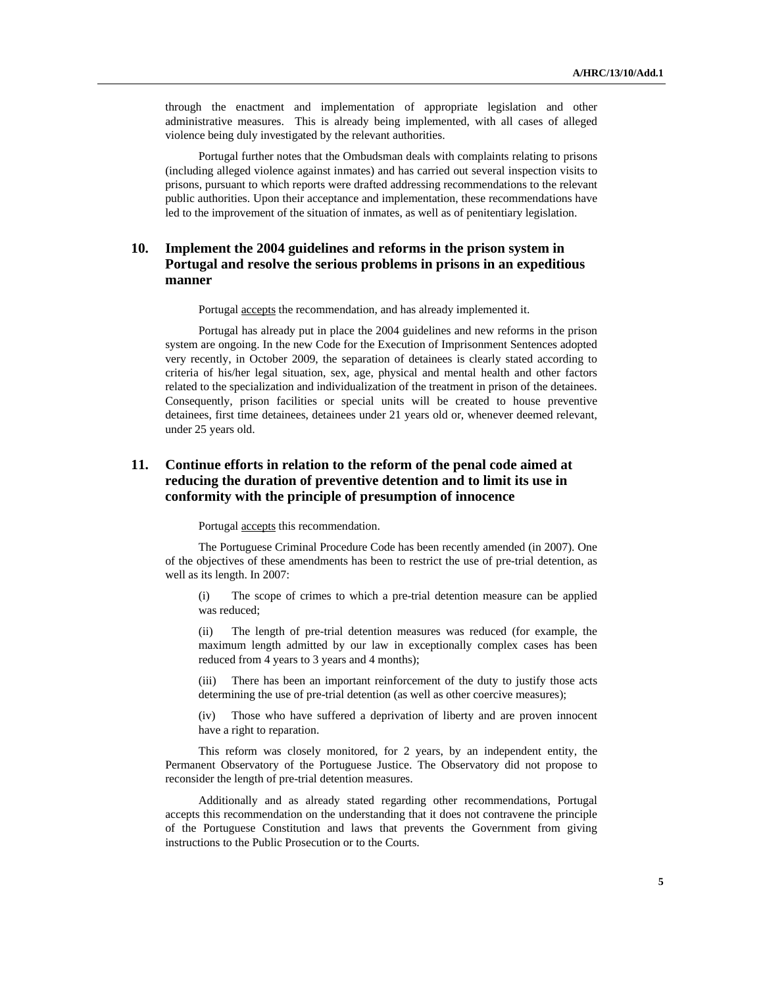through the enactment and implementation of appropriate legislation and other administrative measures. This is already being implemented, with all cases of alleged violence being duly investigated by the relevant authorities.

Portugal further notes that the Ombudsman deals with complaints relating to prisons (including alleged violence against inmates) and has carried out several inspection visits to prisons, pursuant to which reports were drafted addressing recommendations to the relevant public authorities. Upon their acceptance and implementation, these recommendations have led to the improvement of the situation of inmates, as well as of penitentiary legislation.

## **10. Implement the 2004 guidelines and reforms in the prison system in Portugal and resolve the serious problems in prisons in an expeditious manner**

Portugal accepts the recommendation, and has already implemented it.

Portugal has already put in place the 2004 guidelines and new reforms in the prison system are ongoing. In the new Code for the Execution of Imprisonment Sentences adopted very recently, in October 2009, the separation of detainees is clearly stated according to criteria of his/her legal situation, sex, age, physical and mental health and other factors related to the specialization and individualization of the treatment in prison of the detainees. Consequently, prison facilities or special units will be created to house preventive detainees, first time detainees, detainees under 21 years old or, whenever deemed relevant, under 25 years old.

## **11. Continue efforts in relation to the reform of the penal code aimed at reducing the duration of preventive detention and to limit its use in conformity with the principle of presumption of innocence**

Portugal accepts this recommendation.

The Portuguese Criminal Procedure Code has been recently amended (in 2007). One of the objectives of these amendments has been to restrict the use of pre-trial detention, as well as its length. In 2007:

(i) The scope of crimes to which a pre-trial detention measure can be applied was reduced;

(ii) The length of pre-trial detention measures was reduced (for example, the maximum length admitted by our law in exceptionally complex cases has been reduced from 4 years to 3 years and 4 months);

(iii) There has been an important reinforcement of the duty to justify those acts determining the use of pre-trial detention (as well as other coercive measures);

(iv) Those who have suffered a deprivation of liberty and are proven innocent have a right to reparation.

This reform was closely monitored, for 2 years, by an independent entity, the Permanent Observatory of the Portuguese Justice. The Observatory did not propose to reconsider the length of pre-trial detention measures.

Additionally and as already stated regarding other recommendations, Portugal accepts this recommendation on the understanding that it does not contravene the principle of the Portuguese Constitution and laws that prevents the Government from giving instructions to the Public Prosecution or to the Courts.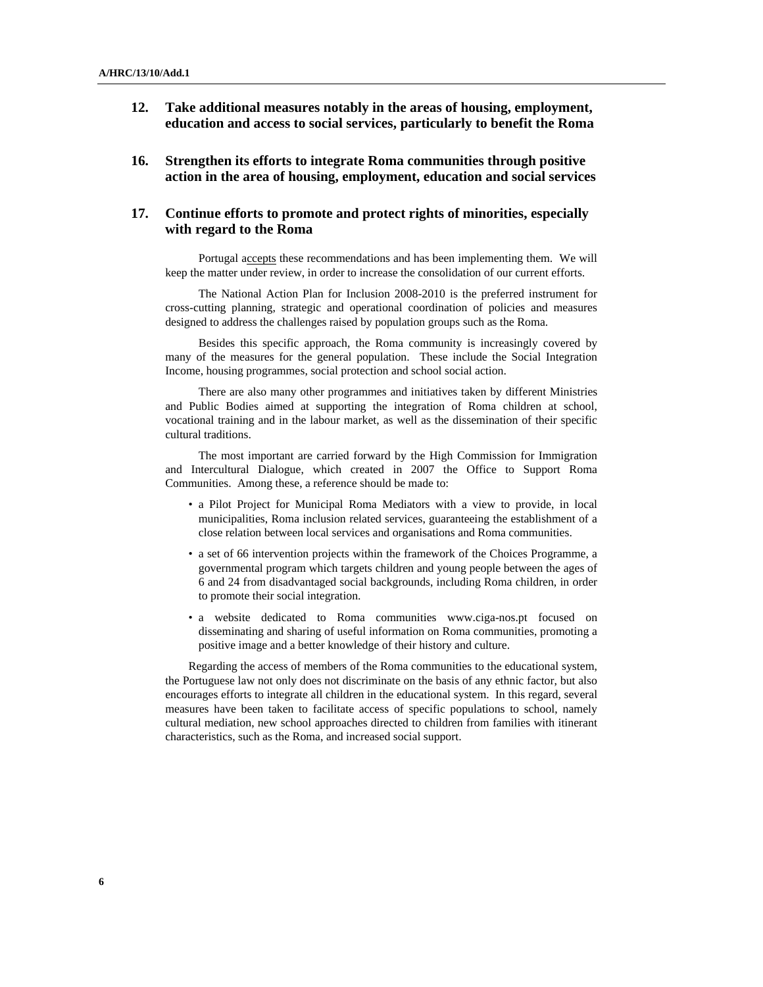- **12. Take additional measures notably in the areas of housing, employment, education and access to social services, particularly to benefit the Roma**
- **16. Strengthen its efforts to integrate Roma communities through positive action in the area of housing, employment, education and social services**

#### **17. Continue efforts to promote and protect rights of minorities, especially with regard to the Roma**

Portugal accepts these recommendations and has been implementing them. We will keep the matter under review, in order to increase the consolidation of our current efforts.

The National Action Plan for Inclusion 2008-2010 is the preferred instrument for cross-cutting planning, strategic and operational coordination of policies and measures designed to address the challenges raised by population groups such as the Roma.

Besides this specific approach, the Roma community is increasingly covered by many of the measures for the general population. These include the Social Integration Income, housing programmes, social protection and school social action.

There are also many other programmes and initiatives taken by different Ministries and Public Bodies aimed at supporting the integration of Roma children at school, vocational training and in the labour market, as well as the dissemination of their specific cultural traditions.

The most important are carried forward by the High Commission for Immigration and Intercultural Dialogue, which created in 2007 the Office to Support Roma Communities. Among these, a reference should be made to:

- a Pilot Project for Municipal Roma Mediators with a view to provide, in local municipalities, Roma inclusion related services, guaranteeing the establishment of a close relation between local services and organisations and Roma communities.
- a set of 66 intervention projects within the framework of the Choices Programme, a governmental program which targets children and young people between the ages of 6 and 24 from disadvantaged social backgrounds, including Roma children, in order to promote their social integration.
- a website dedicated to Roma communities www.ciga-nos.pt focused on disseminating and sharing of useful information on Roma communities, promoting a positive image and a better knowledge of their history and culture.

Regarding the access of members of the Roma communities to the educational system, the Portuguese law not only does not discriminate on the basis of any ethnic factor, but also encourages efforts to integrate all children in the educational system. In this regard, several measures have been taken to facilitate access of specific populations to school, namely cultural mediation, new school approaches directed to children from families with itinerant characteristics, such as the Roma, and increased social support.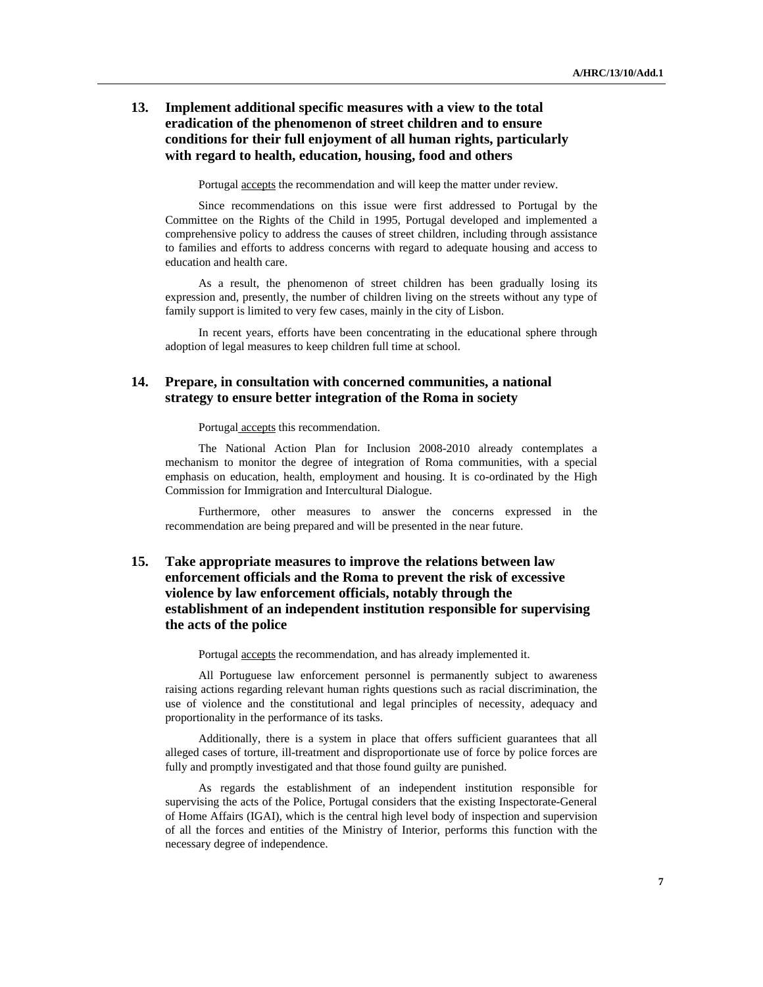#### **13. Implement additional specific measures with a view to the total eradication of the phenomenon of street children and to ensure conditions for their full enjoyment of all human rights, particularly with regard to health, education, housing, food and others**

Portugal accepts the recommendation and will keep the matter under review.

Since recommendations on this issue were first addressed to Portugal by the Committee on the Rights of the Child in 1995, Portugal developed and implemented a comprehensive policy to address the causes of street children, including through assistance to families and efforts to address concerns with regard to adequate housing and access to education and health care.

As a result, the phenomenon of street children has been gradually losing its expression and, presently, the number of children living on the streets without any type of family support is limited to very few cases, mainly in the city of Lisbon.

In recent years, efforts have been concentrating in the educational sphere through adoption of legal measures to keep children full time at school.

#### **14. Prepare, in consultation with concerned communities, a national strategy to ensure better integration of the Roma in society**

Portugal accepts this recommendation.

The National Action Plan for Inclusion 2008-2010 already contemplates a mechanism to monitor the degree of integration of Roma communities, with a special emphasis on education, health, employment and housing. It is co-ordinated by the High Commission for Immigration and Intercultural Dialogue.

Furthermore, other measures to answer the concerns expressed in the recommendation are being prepared and will be presented in the near future.

# **15. Take appropriate measures to improve the relations between law enforcement officials and the Roma to prevent the risk of excessive violence by law enforcement officials, notably through the establishment of an independent institution responsible for supervising the acts of the police**

Portugal accepts the recommendation, and has already implemented it.

All Portuguese law enforcement personnel is permanently subject to awareness raising actions regarding relevant human rights questions such as racial discrimination, the use of violence and the constitutional and legal principles of necessity, adequacy and proportionality in the performance of its tasks.

Additionally, there is a system in place that offers sufficient guarantees that all alleged cases of torture, ill-treatment and disproportionate use of force by police forces are fully and promptly investigated and that those found guilty are punished.

As regards the establishment of an independent institution responsible for supervising the acts of the Police, Portugal considers that the existing Inspectorate-General of Home Affairs (IGAI), which is the central high level body of inspection and supervision of all the forces and entities of the Ministry of Interior, performs this function with the necessary degree of independence.